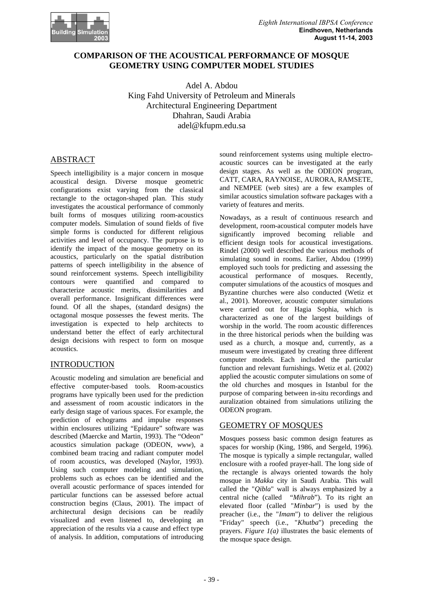

## **COMPARISON OF THE ACOUSTICAL PERFORMANCE OF MOSQUE GEOMETRY USING COMPUTER MODEL STUDIES**

Adel A. Abdou King Fahd University of Petroleum and Minerals Architectural Engineering Department Dhahran, Saudi Arabia adel@kfupm.edu.sa

## ABSTRACT

Speech intelligibility is a major concern in mosque acoustical design. Diverse mosque geometric configurations exist varying from the classical rectangle to the octagon-shaped plan. This study investigates the acoustical performance of commonly built forms of mosques utilizing room-acoustics computer models. Simulation of sound fields of five simple forms is conducted for different religious activities and level of occupancy. The purpose is to identify the impact of the mosque geometry on its acoustics, particularly on the spatial distribution patterns of speech intelligibility in the absence of sound reinforcement systems. Speech intelligibility contours were quantified and compared to characterize acoustic merits, dissimilarities and overall performance. Insignificant differences were found. Of all the shapes, (standard designs) the octagonal mosque possesses the fewest merits. The investigation is expected to help architects to understand better the effect of early architectural design decisions with respect to form on mosque acoustics.

### INTRODUCTION

Acoustic modeling and simulation are beneficial and effective computer-based tools. Room-acoustics programs have typically been used for the prediction and assessment of room acoustic indicators in the early design stage of various spaces. For example, the prediction of echograms and impulse responses within enclosures utilizing "Epidaure" software was described (Maercke and Martin, 1993). The "Odeon" acoustics simulation package (ODEON, *www*), a combined beam tracing and radiant computer model of room acoustics, was developed (Naylor, 1993). Using such computer modeling and simulation, problems such as echoes can be identified and the overall acoustic performance of spaces intended for particular functions can be assessed before actual construction begins (Claus, 2001). The impact of architectural design decisions can be readily visualized and even listened to, developing an appreciation of the results via a cause and effect type of analysis. In addition, computations of introducing

sound reinforcement systems using multiple electroacoustic sources can be investigated at the early design stages. As well as the ODEON program, CATT, CARA, RAYNOISE, AURORA, RAMSETE, and NEMPEE (web sites) are a few examples of similar acoustics simulation software packages with a variety of features and merits.

Nowadays, as a result of continuous research and development, room-acoustical computer models have significantly improved becoming reliable and efficient design tools for acoustical investigations. Rindel (2000) well described the various methods of simulating sound in rooms. Earlier, Abdou (1999) employed such tools for predicting and assessing the acoustical performance of mosques. Recently, computer simulations of the acoustics of mosques and Byzantine churches were also conducted (Wetiz et al., 2001). Moreover, acoustic computer simulations were carried out for Hagia Sophia, which is characterized as one of the largest buildings of worship in the world. The room acoustic differences in the three historical periods when the building was used as a church, a mosque and, currently, as a museum were investigated by creating three different computer models. Each included the particular function and relevant furnishings. Wetiz et al. (2002) applied the acoustic computer simulations on some of the old churches and mosques in Istanbul for the purpose of comparing between in-situ recordings and auralization obtained from simulations utilizing the ODEON program.

### GEOMETRY OF MOSQUES

Mosques possess basic common design features as spaces for worship (King, 1986, and Sergeld, 1996). The mosque is typically a simple rectangular, walled enclosure with a roofed prayer-hall. The long side of the rectangle is always oriented towards the holy mosque in *Makka* city in Saudi Arabia. This wall called the "*Qibla*" wall is always emphasized by a central niche (called "*Mihrab*"). To its right an elevated floor (called "*Minbar*") is used by the preacher (i.e., the "*Imam*") to deliver the religious "Friday" speech (i.e., "*Khutba*") preceding the prayers. *Figure 1(a)* illustrates the basic elements of the mosque space design.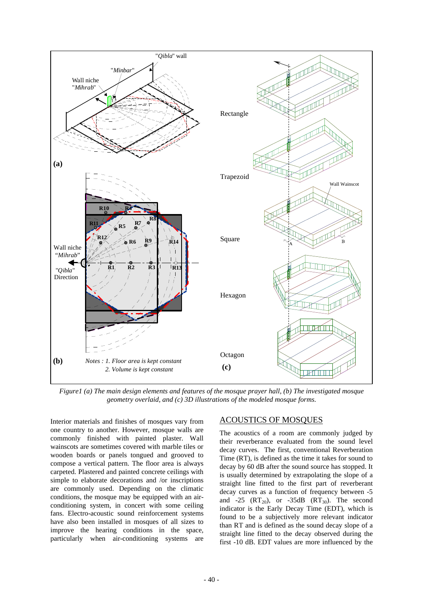

c mosque pruyer nuu, (v) ine invesugueu mosque geometry overlaid, and (c) 3D illustrations of the modeled mosque forms. *Figure1 (a) The main design elements and features of the mosque prayer hall, (b) The investigated mosque* 

Interior materials and finishes of mosques vary from one country to another. However, mosque walls are commonly finished with painted plaster. Wall wainscots are sometimes covered with marble tiles or wooden boards or panels tongued and grooved to compose a vertical pattern. The floor area is always carpeted. Plastered and painted concrete ceilings with simple to elaborate decorations and /or inscriptions are commonly used. Depending on the climatic conditions, the mosque may be equipped with an airconditioning system, in concert with some ceiling fans. Electro-acoustic sound reinforcement systems have also been installed in mosques of all sizes to improve the hearing conditions in the space, particularly when air-conditioning systems are

### ACOUSTICS OF MOSQUES

The acoustics of a room are commonly judged by their reverberance evaluated from the sound level decay curves. The first, conventional Reverberation Time (RT), is defined as the time it takes for sound to decay by 60 dB after the sound source has stopped. It is usually determined by extrapolating the slope of a straight line fitted to the first part of reverberant decay curves as a function of frequency between -5 and -25  $(RT_{20})$ , or -35dB  $(RT_{30})$ . The second indicator is the Early Decay Time (EDT), which is found to be a subjectively more relevant indicator than RT and is defined as the sound decay slope of a straight line fitted to the decay observed during the first -10 dB. EDT values are more influenced by the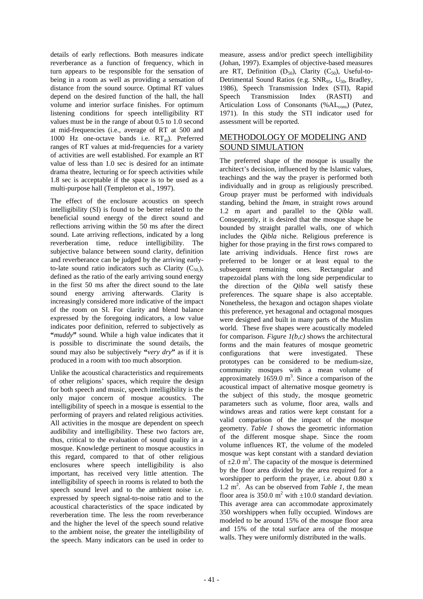details of early reflections. Both measures indicate reverberance as a function of frequency, which in turn appears to be responsible for the sensation of being in a room as well as providing a sensation of distance from the sound source. Optimal RT values depend on the desired function of the hall, the hall volume and interior surface finishes. For optimum listening conditions for speech intelligibility RT values must be in the range of about 0.5 to 1.0 second at mid-frequencies (i.e., average of RT at 500 and 1000 Hz one-octave bands i.e.  $RT_m$ ). Preferred ranges of RT values at mid-frequencies for a variety of activities are well established. For example an RT value of less than 1.0 sec is desired for an intimate drama theatre, lecturing or for speech activities while 1.8 sec is acceptable if the space is to be used as a multi-purpose hall (Templeton et al., 1997).

The effect of the enclosure acoustics on speech intelligibility (SI) is found to be better related to the beneficial sound energy of the direct sound and reflections arriving within the 50 ms after the direct sound. Late arriving reflections, indicated by a long reverberation time, reduce intelligibility. The subjective balance between sound clarity, definition and reverberance can be judged by the arriving earlyto-late sound ratio indicators such as Clarity  $(C_{50})$ , defined as the ratio of the early arriving sound energy in the first 50 ms after the direct sound to the late sound energy arriving afterwards. Clarity is increasingly considered more indicative of the impact of the room on SI. For clarity and blend balance expressed by the foregoing indicators, a low value indicates poor definition, referred to subjectively as **"***muddy***"** sound. While a high value indicates that it is possible to discriminate the sound details, the sound may also be subjectively **"***very dry***"** as if it is produced in a room with too much absorption.

Unlike the acoustical characteristics and requirements of other religions' spaces, which require the design for both speech and music, speech intelligibility is the only major concern of mosque acoustics. The intelligibility of speech in a mosque is essential to the performing of prayers and related religious activities. All activities in the mosque are dependent on speech audibility and intelligibility. These two factors are, thus, critical to the evaluation of sound quality in a mosque. Knowledge pertinent to mosque acoustics in this regard, compared to that of other religious enclosures where speech intelligibility is also important, has received very little attention. The intelligibility of speech in rooms is related to both the speech sound level and to the ambient noise i.e. expressed by speech signal-to-noise ratio and to the acoustical characteristics of the space indicated by reverberation time. The less the room reverberance and the higher the level of the speech sound relative to the ambient noise, the greater the intelligibility of the speech. Many indicators can be used in order to

measure, assess and/or predict speech intelligibility (Johan, 1997). Examples of objective-based measures are RT, Definition  $(D_{50})$ , Clarity  $(C_{50})$ , Useful-to-Detrimental Sound Ratios (e.g. SNR<sub>95</sub>, U<sub>50</sub>, Bradley, 1986), Speech Transmission Index (STI), Rapid Speech Transmission Index (RASTI) and Articulation Loss of Consonants (%AL<sub>cons</sub>) (Putez, 1971). In this study the STI indicator used for assessment will be reported.

## METHODOLOGY OF MODELING AND SOUND SIMULATION

The preferred shape of the mosque is usually the architect's decision, influenced by the Islamic values, teachings and the way the prayer is performed both individually and in group as religiously prescribed. Group prayer must be performed with individuals standing, behind the *Imam*, in straight rows around 1.2 m apart and parallel to the *Qibla* wall. Consequently, it is desired that the mosque shape be bounded by straight parallel walls, one of which includes the *Qibla* niche. Religious preference is higher for those praying in the first rows compared to late arriving individuals. Hence first rows are preferred to be longer or at least equal to the subsequent remaining ones. Rectangular and trapezoidal plans with the long side perpendicular to the direction of the *Qibla* well satisfy these preferences. The square shape is also acceptable. Nonetheless, the hexagon and octagon shapes violate this preference, yet hexagonal and octagonal mosques were designed and built in many parts of the Muslim world. These five shapes were acoustically modeled for comparison. *Figure 1(b,c)* shows the architectural forms and the main features of mosque geometric configurations that were investigated. These prototypes can be considered to be medium-size, community mosques with a mean volume of approximately  $1659.0 \text{ m}^3$ . Since a comparison of the acoustical impact of alternative mosque geometry is the subject of this study, the mosque geometric parameters such as volume, floor area, walls and windows areas and ratios were kept constant for a valid comparison of the impact of the mosque geometry. *Table 1* shows the geometric information of the different mosque shape. Since the room volume influences RT, the volume of the modeled mosque was kept constant with a standard deviation of  $\pm 2.0$  m<sup>3</sup>. The capacity of the mosque is determined by the floor area divided by the area required for a worshipper to perform the prayer, i.e. about 0.80 x  $1.2 \text{ m}^2$ . As can be observed from *Table 1*, the mean floor area is 350.0  $m^2$  with  $\pm 10.0$  standard deviation. This average area can accommodate approximately 350 worshippers when fully occupied. Windows are modeled to be around 15% of the mosque floor area and 15% of the total surface area of the mosque walls. They were uniformly distributed in the walls.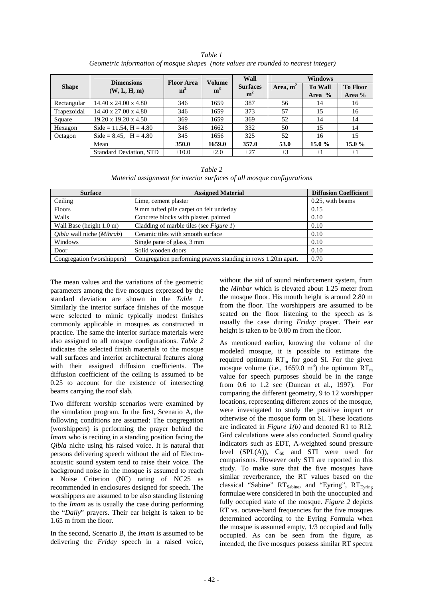|              | <b>Dimensions</b>                | <b>Floor Area</b> | <b>Volume</b>  | Wall                              | <b>Windows</b> |                          |                           |
|--------------|----------------------------------|-------------------|----------------|-----------------------------------|----------------|--------------------------|---------------------------|
| <b>Shape</b> | (W, L, H, m)                     | m <sup>2</sup>    | m <sup>3</sup> | <b>Surfaces</b><br>m <sup>2</sup> | Area, $m^2$    | <b>To Wall</b><br>Area % | <b>To Floor</b><br>Area % |
|              |                                  |                   |                |                                   |                |                          |                           |
| Rectangular  | $14.40 \times 24.00 \times 4.80$ | 346               | 1659           | 387                               | 56             | 14                       | 16                        |
| Trapezoidal  | 14.40 x 27.00 x 4.80             | 346               | 1659           | 373                               | 57             | 15                       | 16                        |
| Square       | $19.20 \times 19.20 \times 4.50$ | 369               | 1659           | 369                               | 52             | 14                       | 14                        |
| Hexagon      | Side = $11.54$ , H = $4.80$      | 346               | 1662           | 332                               | 50             | 15                       | 14                        |
| Octagon      | Side = $8.45$ , H = $4.80$       | 345               | 1656           | 325                               | 52             | 16                       | 15                        |
|              | Mean                             | 350.0             | 1659.0         | 357.0                             | 53.0           | 15.0 $%$                 | 15.0 $%$                  |
|              | <b>Standard Deviation, STD</b>   | $\pm 10.0$        | $\pm 2.0$      | $+27$                             | $\pm 3$        | $\pm 1$                  | $\pm 1$                   |

*Table 1 Geometric information of mosque shapes (note values are rounded to nearest integer)*

|                                                                        | Table 2 |  |
|------------------------------------------------------------------------|---------|--|
| Material assignment for interior surfaces of all mosque configurations |         |  |

| <b>Surface</b>             | <b>Assigned Material</b>                                      | <b>Diffusion Coefficient</b> |  |
|----------------------------|---------------------------------------------------------------|------------------------------|--|
| Ceiling                    | Lime, cement plaster                                          | 0.25, with beams             |  |
| Floors                     | 9 mm tufted pile carpet on felt underlay                      | 0.15                         |  |
| Walls                      | Concrete blocks with plaster, painted                         | 0.10                         |  |
| Wall Base (height 1.0 m)   | Cladding of marble tiles (see Figure 1)                       | 0.10                         |  |
| Qibla wall niche (Mihrab)  | Ceramic tiles with smooth surface                             | 0.10                         |  |
| Windows                    | Single pane of glass, 3 mm                                    | 0.10                         |  |
| Door                       | Solid wooden doors                                            | 0.10                         |  |
| Congregation (worshippers) | Congregation performing prayers standing in rows 1.20m apart. | 0.70                         |  |

The mean values and the variations of the geometric parameters among the five mosques expressed by the standard deviation are shown in the *Table 1*. Similarly the interior surface finishes of the mosque were selected to mimic typically modest finishes commonly applicable in mosques as constructed in practice. The same the interior surface materials were also assigned to all mosque configurations. *Table 2* indicates the selected finish materials to the mosque wall surfaces and interior architectural features along with their assigned diffusion coefficients. The diffusion coefficient of the ceiling is assumed to be 0.25 to account for the existence of intersecting beams carrying the roof slab.

Two different worship scenarios were examined by the simulation program. In the first, Scenario A, the following conditions are assumed: The congregation (worshippers) is performing the prayer behind the *Imam* who is reciting in a standing position facing the *Qibla* niche using his raised voice. It is natural that persons delivering speech without the aid of Electroacoustic sound system tend to raise their voice. The background noise in the mosque is assumed to reach a Noise Criterion (NC) rating of NC25 as recommended in enclosures designed for speech. The worshippers are assumed to be also standing listening to the *Imam* as is usually the case during performing the "*Daily*" prayers. Their ear height is taken to be 1.65 m from the floor.

In the second, Scenario B, the *Imam* is assumed to be delivering the *Friday* speech in a raised voice,

without the aid of sound reinforcement system, from the *Minbar* which is elevated about 1.25 meter from the mosque floor. His mouth height is around 2.80 m from the floor. The worshippers are assumed to be seated on the floor listening to the speech as is usually the case during *Friday* prayer. Their ear height is taken to be 0.80 m from the floor.

As mentioned earlier, knowing the volume of the modeled mosque, it is possible to estimate the required optimum  $RT_m$  for good SI. For the given mosque volume (i.e., 1659.0 m<sup>3</sup>) the optimum  $RT_m$ value for speech purposes should be in the range from 0.6 to 1.2 sec (Duncan et al., 1997). For comparing the different geometry, 9 to 12 worshipper locations, representing different zones of the mosque, were investigated to study the positive impact or otherwise of the mosque form on SI. These locations are indicated in *Figure 1(b)* and denoted R1 to R12. Gird calculations were also conducted. Sound quality indicators such as EDT, A-weighted sound pressure level (SPL $(A)$ ),  $C_{50}$  and STI were used for comparisons. However only STI are reported in this study. To make sure that the five mosques have similar reverberance, the RT values based on the classical "Sabine"  $RT_{Sabine}$ , and "Eyring",  $RT_{Euring}$ formulae were considered in both the unoccupied and fully occupied state of the mosque. *Figure 2* depicts RT vs. octave-band frequencies for the five mosques determined according to the Eyring Formula when the mosque is assumed empty, 1/3 occupied and fully occupied. As can be seen from the figure, as intended, the five mosques possess similar RT spectra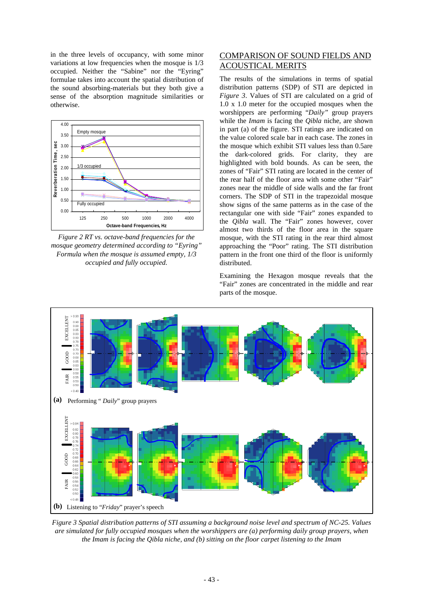in the three levels of occupancy, with some minor variations at low frequencies when the mosque is 1/3 occupied. Neither the "Sabine" nor the "Eyring" formulae takes into account the spatial distribution of the sound absorbing-materials but they both give a sense of the absorption magnitude similarities or otherwise.



*Figure 2 RT vs. octave-band frequencies for the mosque geometry determined according to "Eyring" Formula when the mosque is assumed empty, 1/3 occupied and fully occupied.*

# COMPARISON OF SOUND FIELDS AND ACOUSTICAL MERITS

The results of the simulations in terms of spatial distribution patterns (SDP) of STI are depicted in *Figure 3*. Values of STI are calculated on a grid of 1.0 x 1.0 meter for the occupied mosques when the worshippers are performing "*Daily"* group prayers while the *Imam* is facing the *Qibla* niche, are shown in part (a) of the figure. STI ratings are indicated on the value colored scale bar in each case. The zones in the mosque which exhibit STI values less than 0.5are the dark-colored grids. For clarity, they are highlighted with bold bounds. As can be seen, the zones of "Fair" STI rating are located in the center of the rear half of the floor area with some other "Fair" zones near the middle of side walls and the far front corners. The SDP of STI in the trapezoidal mosque show signs of the same patterns as in the case of the rectangular one with side "Fair" zones expanded to the *Qibla* wall. The "Fair" zones however, cover almost two thirds of the floor area in the square mosque, with the STI rating in the rear third almost approaching the "Poor" rating. The STI distribution pattern in the front one third of the floor is uniformly distributed.

Examining the Hexagon mosque reveals that the "Fair" zones are concentrated in the middle and rear parts of the mosque.



*Figure 3 Spatial distribution patterns of STI assuming a background noise level and spectrum of NC-25. Values are simulated for fully occupied mosques when the worshippers are (a) performing daily group prayers, when the Imam is facing the Qibla niche, and (b) sitting on the floor carpet listening to the Imam*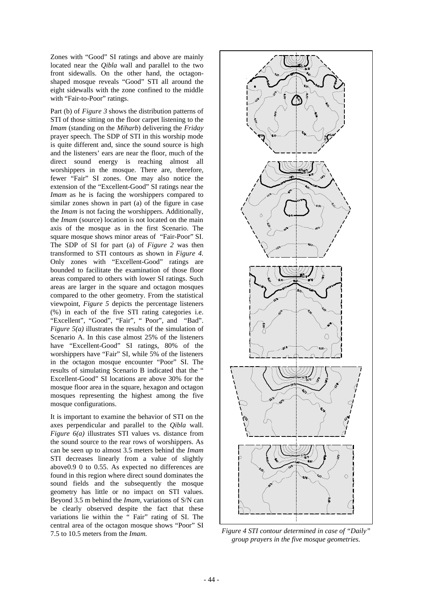Zones with "Good" SI ratings and above are mainly located near the *Qibla* wall and parallel to the two front sidewalls. On the other hand, the octagonshaped mosque reveals "Good" STI all around the eight sidewalls with the zone confined to the middle with "Fair-to-Poor" ratings.

Part (b) of *Figure 3* shows the distribution patterns of STI of those sitting on the floor carpet listening to the *Imam* (standing on the *Miharb*) delivering the *Friday* prayer speech. The SDP of STI in this worship mode is quite different and, since the sound source is high and the listeners' ears are near the floor, much of the direct sound energy is reaching almost all worshippers in the mosque. There are, therefore, fewer "Fair" SI zones. One may also notice the extension of the "Excellent-Good" SI ratings near the *Imam* as he is facing the worshippers compared to similar zones shown in part (a) of the figure in case the *Imam* is not facing the worshippers. Additionally, the *Imam* (source) location is not located on the main axis of the mosque as in the first Scenario. The square mosque shows minor areas of "Fair-Poor" SI. The SDP of SI for part (a) of *Figure 2* was then transformed to STI contours as shown in *Figure 4.* Only zones with "Excellent-Good" ratings are bounded to facilitate the examination of those floor areas compared to others with lower SI ratings. Such areas are larger in the square and octagon mosques compared to the other geometry. From the statistical viewpoint, *Figure 5* depicts the percentage listeners (%) in each of the five STI rating categories i.e. "Excellent", "Good", "Fair", " Poor", and "Bad". *Figure 5(a)* illustrates the results of the simulation of Scenario A. In this case almost 25% of the listeners have "Excellent-Good" SI ratings, 80% of the worshippers have "Fair" SI, while 5% of the listeners in the octagon mosque encounter "Poor" SI. The results of simulating Scenario B indicated that the " Excellent-Good" SI locations are above 30% for the mosque floor area in the square, hexagon and octagon mosques representing the highest among the five mosque configurations.

It is important to examine the behavior of STI on the axes perpendicular and parallel to the *Qibla* wall. *Figure 6(a)* illustrates STI values vs. distance from the sound source to the rear rows of worshippers. As can be seen up to almost 3.5 meters behind the *Imam* STI decreases linearly from a value of slightly above0.9 0 to 0.55. As expected no differences are found in this region where direct sound dominates the sound fields and the subsequently the mosque geometry has little or no impact on STI values. Beyond 3.5 m behind the *Imam*, variations of S/N can be clearly observed despite the fact that these variations lie within the " Fair" rating of SI. The central area of the octagon mosque shows "Poor" SI 7.5 to 10.5 meters from the *Imam. Figure 4 STI contour determined in case of "Daily"* 



*group prayers in the five mosque geometries.*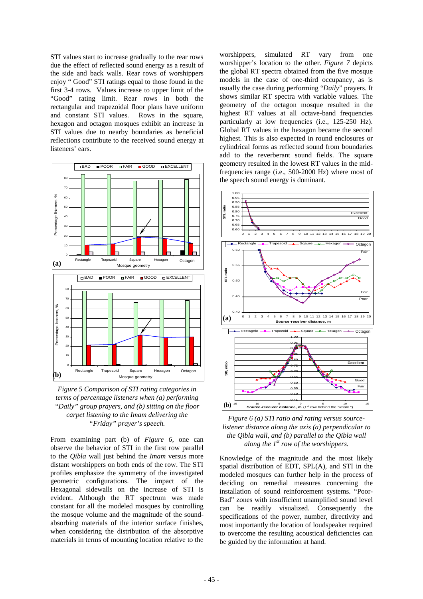STI values start to increase gradually to the rear rows due the effect of reflected sound energy as a result of the side and back walls. Rear rows of worshippers enjoy " Good" STI ratings equal to those found in the first 3-4 rows. Values increase to upper limit of the "Good" rating limit. Rear rows in both the rectangular and trapezoidal floor plans have uniform and constant STI values. Rows in the square, hexagon and octagon mosques exhibit an increase in STI values due to nearby boundaries as beneficial reflections contribute to the received sound energy at listeners' ears.



*Figure 5 Comparison of STI rating categories in terms of percentage listeners when (a) performing "Daily" group prayers, and (b) sitting on the floor carpet listening to the Imam delivering the "Friday" prayer's speech.*

From examining part (b) of *Figure 6*, one can observe the behavior of STI in the first row parallel to the *Qibla* wall just behind the *Imam* versus more distant worshippers on both ends of the row. The STI profiles emphasize the symmetry of the investigated geometric configurations. The impact of the Hexagonal sidewalls on the increase of STI is evident. Although the RT spectrum was made constant for all the modeled mosques by controlling the mosque volume and the magnitude of the soundabsorbing materials of the interior surface finishes, when considering the distribution of the absorptive materials in terms of mounting location relative to the

worshippers, simulated RT vary from one worshipper's location to the other. *Figure 7* depicts the global RT spectra obtained from the five mosque models in the case of one-third occupancy, as is usually the case during performing "*Daily*" prayers. It shows similar RT spectra with variable values. The geometry of the octagon mosque resulted in the highest RT values at all octave-band frequencies particularly at low frequencies (i.e., 125-250 Hz). Global RT values in the hexagon became the second highest. This is also expected in round enclosures or cylindrical forms as reflected sound from boundaries add to the reverberant sound fields. The square geometry resulted in the lowest RT values in the midfrequencies range (i.e., 500-2000 Hz) where most of the speech sound energy is dominant.



*Figure 6 (a) STI ratio and rating versus sourcelistener distance along the axis (a) perpendicular to the Qibla wall, and (b) parallel to the Qibla wall along the 1st row of the worshippers.*

Knowledge of the magnitude and the most likely spatial distribution of EDT, SPL(A), and STI in the modeled mosques can further help in the process of deciding on remedial measures concerning the installation of sound reinforcement systems. "Poor-Bad" zones with insufficient unamplified sound level can be readily visualized. Consequently the specifications of the power, number, directivity and most importantly the location of loudspeaker required to overcome the resulting acoustical deficiencies can be guided by the information at hand.